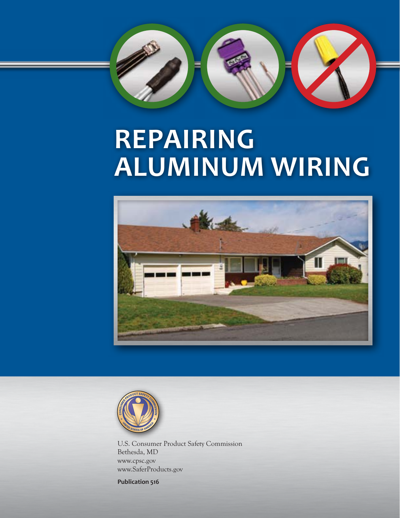

# **REPAIRING ALUMINUM WIRING**





U.S. Consumer Product Safety Commission Bethesda, MD www.cpsc.gov www.SaferProducts.gov

**Publication 516**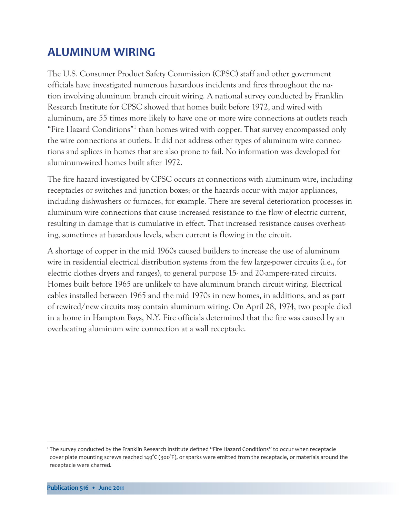# **ALUMINUM WIRING**

The U.S. Consumer Product Safety Commission (CPSC) staff and other government officials have investigated numerous hazardous incidents and fires throughout the nation involving aluminum branch circuit wiring. A national survey conducted by Franklin Research Institute for CPSC showed that homes built before 1972, and wired with aluminum, are 55 times more likely to have one or more wire connections at outlets reach "Fire Hazard Conditions"1 than homes wired with copper. That survey encompassed only the wire connections at outlets. It did not address other types of aluminum wire connections and splices in homes that are also prone to fail. No information was developed for aluminum-wired homes built after 1972.

The fire hazard investigated by CPSC occurs at connections with aluminum wire, including receptacles or switches and junction boxes; or the hazards occur with major appliances, including dishwashers or furnaces, for example. There are several deterioration processes in aluminum wire connections that cause increased resistance to the flow of electric current, resulting in damage that is cumulative in effect. That increased resistance causes overheating, sometimes at hazardous levels, when current is flowing in the circuit.

A shortage of copper in the mid 1960s caused builders to increase the use of aluminum wire in residential electrical distribution systems from the few large-power circuits (i.e., for electric clothes dryers and ranges), to general purpose 15- and 20-ampere-rated circuits. Homes built before 1965 are unlikely to have aluminum branch circuit wiring. Electrical cables installed between 1965 and the mid 1970s in new homes, in additions, and as part of rewired/new circuits may contain aluminum wiring. On April 28, 1974, two people died in a home in Hampton Bays, N.Y. Fire officials determined that the fire was caused by an overheating aluminum wire connection at a wall receptacle.

<sup>1</sup>The survey conducted by the Franklin Research Institute defined "Fire Hazard Conditions" to occur when receptacle cover plate mounting screws reached 149°C (300°F), or sparks were emitted from the receptacle, or materials around the receptacle were charred.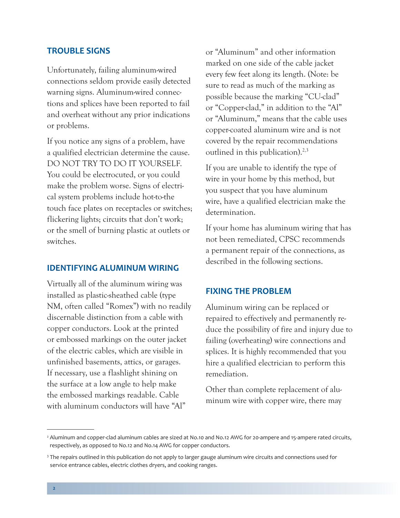# **TROUBLE SIGNS**

Unfortunately, failing aluminum-wired connections seldom provide easily detected warning signs. Aluminum-wired connections and splices have been reported to fail and overheat without any prior indications or problems.

If you notice any signs of a problem, have a qualified electrician determine the cause. DO NOT TRY TO DO IT YOURSELF. You could be electrocuted, or you could make the problem worse. Signs of electrical system problems include hot-to-the touch face plates on receptacles or switches; flickering lights; circuits that don't work; or the smell of burning plastic at outlets or switches.

# **IDENTIFYING ALUMINUM WIRING**

Virtually all of the aluminum wiring was installed as plastic-sheathed cable (type NM, often called "Romex") with no readily discernable distinction from a cable with copper conductors. Look at the printed or embossed markings on the outer jacket of the electric cables, which are visible in unfinished basements, attics, or garages. If necessary, use a flashlight shining on the surface at a low angle to help make the embossed markings readable. Cable with aluminum conductors will have "Al"

or "Aluminum" and other information marked on one side of the cable jacket every few feet along its length. (Note: be sure to read as much of the marking as possible because the marking "CU-clad" or "Copper-clad," in addition to the "Al" or "Aluminum," means that the cable uses copper-coated aluminum wire and is not covered by the repair recommendations outlined in this publication). $2,3$ 

If you are unable to identify the type of wire in your home by this method, but you suspect that you have aluminum wire, have a qualified electrician make the determination.

If your home has aluminum wiring that has not been remediated, CPSC recommends a permanent repair of the connections, as described in the following sections.

# **FIXING THE PROBLEM**

Aluminum wiring can be replaced or repaired to effectively and permanently reduce the possibility of fire and injury due to failing (overheating) wire connections and splices. It is highly recommended that you hire a qualified electrician to perform this remediation.

Other than complete replacement of aluminum wire with copper wire, there may

<sup>&</sup>lt;sup>2</sup> Aluminum and copper-clad aluminum cables are sized at No.10 and No.12 AWG for 20-ampere and 15-ampere rated circuits, respectively, as opposed to No.12 and No.14 AWG for copper conductors.

<sup>&</sup>lt;sup>3</sup> The repairs outlined in this publication do not apply to larger gauge aluminum wire circuits and connections used for service entrance cables, electric clothes dryers, and cooking ranges.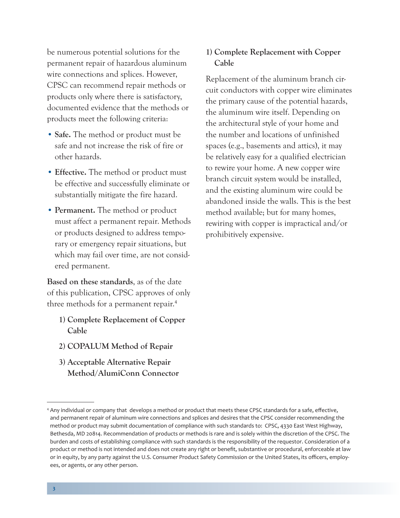be numerous potential solutions for the permanent repair of hazardous aluminum wire connections and splices. However, CPSC can recommend repair methods or products only where there is satisfactory, documented evidence that the methods or products meet the following criteria:

- **Safe.** The method or product must be safe and not increase the risk of fire or other hazards.
- **Effective.** The method or product must be effective and successfully eliminate or substantially mitigate the fire hazard.
- **Permanent.** The method or product must affect a permanent repair. Methods or products designed to address temporary or emergency repair situations, but which may fail over time, are not considered permanent.

**Based on these standards**, as of the date of this publication, CPSC approves of only three methods for a permanent repair.<sup>4</sup>

- **1) Complete Replacement of Copper Cable**
- **2) COPALUM Method of Repair**
- **3) Acceptable Alternative Repair Method/AlumiConn Connector**

# **1) Complete Replacement with Copper Cable**

Replacement of the aluminum branch circuit conductors with copper wire eliminates the primary cause of the potential hazards, the aluminum wire itself. Depending on the architectural style of your home and the number and locations of unfinished spaces (e.g., basements and attics), it may be relatively easy for a qualified electrician to rewire your home. A new copper wire branch circuit system would be installed, and the existing aluminum wire could be abandoned inside the walls. This is the best method available; but for many homes, rewiring with copper is impractical and/or prohibitively expensive.

<sup>4</sup> Any individual or company that develops a method or product that meets these CPSC standards for a safe, effective, and permanent repair of aluminum wire connections and splices and desires that the CPSC consider recommending the method or product may submit documentation of compliance with such standards to: CPSC, 4330 East West Highway, Bethesda, MD 20814. Recommendation of products or methods is rare and is solely within the discretion of the CPSC. The burden and costs of establishing compliance with such standards is the responsibility of the requestor. Consideration of a product or method is not intended and does not create any right or benefit, substantive or procedural, enforceable at law or in equity, by any party against the U.S. Consumer Product Safety Commission or the United States, its officers, employees, or agents, or any other person.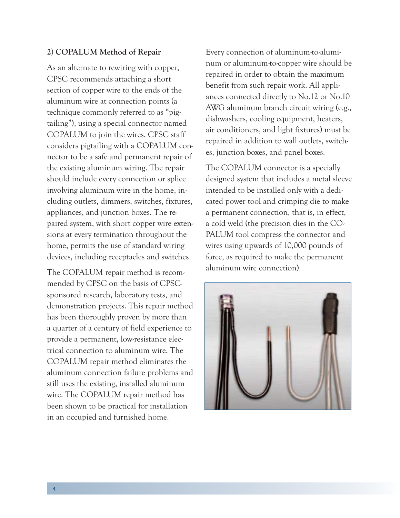#### **2) COPALUM Method of Repair**

As an alternate to rewiring with copper, CPSC recommends attaching a short section of copper wire to the ends of the aluminum wire at connection points (a technique commonly referred to as "pigtailing"), using a special connector named COPALUM to join the wires. CPSC staff considers pigtailing with a COPALUM connector to be a safe and permanent repair of the existing aluminum wiring. The repair should include every connection or splice involving aluminum wire in the home, including outlets, dimmers, switches, fixtures, appliances, and junction boxes. The repaired system, with short copper wire extensions at every termination throughout the home, permits the use of standard wiring devices, including receptacles and switches.

The COPALUM repair method is recommended by CPSC on the basis of CPSCsponsored research, laboratory tests, and demonstration projects. This repair method has been thoroughly proven by more than a quarter of a century of field experience to provide a permanent, low-resistance electrical connection to aluminum wire. The COPALUM repair method eliminates the aluminum connection failure problems and still uses the existing, installed aluminum wire. The COPALUM repair method has been shown to be practical for installation in an occupied and furnished home.

Every connection of aluminum-to-aluminum or aluminum-to-copper wire should be repaired in order to obtain the maximum benefit from such repair work. All appliances connected directly to No.12 or No.10 AWG aluminum branch circuit wiring (e.g., dishwashers, cooling equipment, heaters, air conditioners, and light fixtures) must be repaired in addition to wall outlets, switches, junction boxes, and panel boxes.

The COPALUM connector is a specially designed system that includes a metal sleeve intended to be installed only with a dedicated power tool and crimping die to make a permanent connection, that is, in effect, a cold weld (the precision dies in the CO-PALUM tool compress the connector and wires using upwards of 10,000 pounds of force, as required to make the permanent aluminum wire connection).

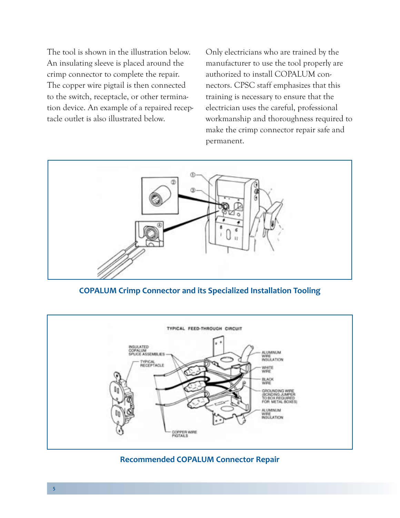The tool is shown in the illustration below. An insulating sleeve is placed around the crimp connector to complete the repair. The copper wire pigtail is then connected to the switch, receptacle, or other termination device. An example of a repaired receptacle outlet is also illustrated below.

Only electricians who are trained by the manufacturer to use the tool properly are authorized to install COPALUM connectors. CPSC staff emphasizes that this training is necessary to ensure that the electrician uses the careful, professional workmanship and thoroughness required to make the crimp connector repair safe and permanent.



**COPALUM Crimp Connector and its Specialized Installation Tooling**



**Recommended COPALUM Connector Repair**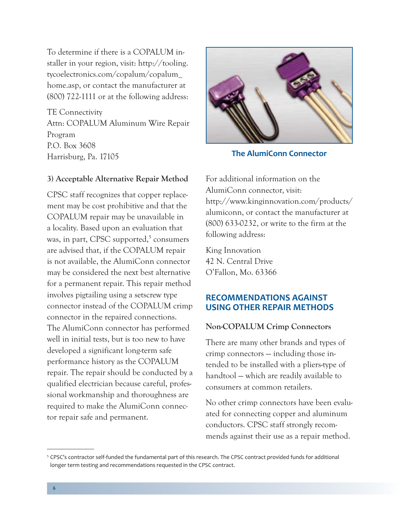To determine if there is a COPALUM installer in your region, visit: [http://tooling.](http://tooling.tycoelectronics.com/copalum/copalum_home.asp) [tycoelectronics.com/copalum/copalum\\_](http://tooling.tycoelectronics.com/copalum/copalum_home.asp) [home.asp,](http://tooling.tycoelectronics.com/copalum/copalum_home.asp) or contact the manufacturer at (800) 722-1111 or at the following address:

TE Connectivity Attn: COPALUM Aluminum Wire Repair Program P.O. Box 3608 Harrisburg, Pa. 17105

#### **3) Acceptable Alternative Repair Method**

CPSC staff recognizes that copper replacement may be cost prohibitive and that the COPALUM repair may be unavailable in a locality. Based upon an evaluation that was, in part, CPSC supported,<sup>5</sup> consumers are advised that, if the COPALUM repair is not available, the AlumiConn connector may be considered the next best alternative for a permanent repair. This repair method involves pigtailing using a setscrew type connector instead of the COPALUM crimp connector in the repaired connections. The AlumiConn connector has performed well in initial tests, but is too new to have developed a significant long-term safe performance history as the COPALUM repair. The repair should be conducted by a qualified electrician because careful, professional workmanship and thoroughness are required to make the AlumiConn connector repair safe and permanent.



**The AlumiConn Connector**

For additional information on the AlumiConn connector, visit: [http://www.kinginnovation.com/products/](http://www.kinginnovation.com/products/alumiconn) [alumiconn](http://www.kinginnovation.com/products/alumiconn), or contact the manufacturer at (800) 633-0232, or write to the firm at the following address:

King Innovation 42 N. Central Drive O'Fallon, Mo. 63366

# **RECOMMENDATIONS AGAINST USING OTHER REPAIR METHODS**

# **Non-COPALUM Crimp Connectors**

There are many other brands and types of crimp connectors — including those intended to be installed with a pliers-type of handtool — which are readily available to consumers at common retailers.

No other crimp connectors have been evaluated for connecting copper and aluminum conductors. CPSC staff strongly recommends against their use as a repair method.

<sup>5</sup> CPSC's contractor self-funded the fundamental part of this research. The CPSC contract provided funds for additional longer term testing and recommendations requested in the CPSC contract.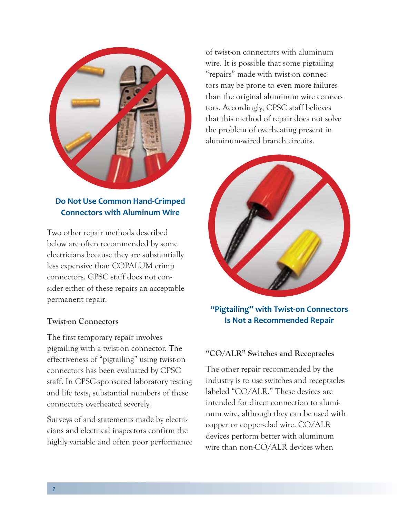

# **Do Not Use Common Hand-Crimped Connectors with Aluminum Wire**

Two other repair methods described below are often recommended by some electricians because they are substantially less expensive than COPALUM crimp connectors. CPSC staff does not consider either of these repairs an acceptable permanent repair.

# **Twist-on Connectors**

The first temporary repair involves pigtailing with a twist-on connector. The effectiveness of "pigtailing" using twist-on connectors has been evaluated by CPSC staff. In CPSC-sponsored laboratory testing and life tests, substantial numbers of these connectors overheated severely.

Surveys of and statements made by electricians and electrical inspectors confirm the highly variable and often poor performance of twist-on connectors with aluminum wire. It is possible that some pigtailing "repairs" made with twist-on connectors may be prone to even more failures than the original aluminum wire connectors. Accordingly, CPSC staff believes that this method of repair does not solve the problem of overheating present in aluminum-wired branch circuits.



**"Pigtailing" with Twist-on Connectors Is Not a Recommended Repair**

# **"CO/ALR" Switches and Receptacles**

The other repair recommended by the industry is to use switches and receptacles labeled "CO/ALR." These devices are intended for direct connection to aluminum wire, although they can be used with copper or copper-clad wire. CO/ALR devices perform better with aluminum wire than non-CO/ALR devices when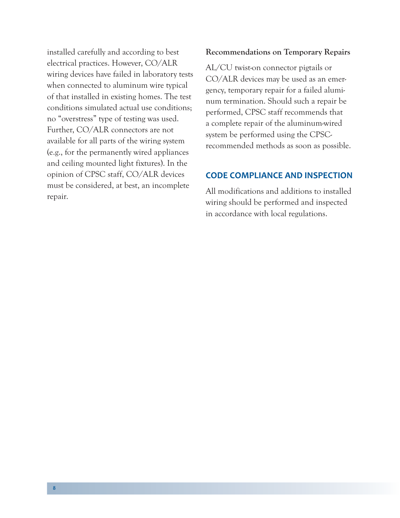installed carefully and according to best electrical practices. However, CO/ALR wiring devices have failed in laboratory tests when connected to aluminum wire typical of that installed in existing homes. The test conditions simulated actual use conditions; no "overstress" type of testing was used. Further, CO/ALR connectors are not available for all parts of the wiring system (e.g., for the permanently wired appliances and ceiling mounted light fixtures). In the opinion of CPSC staff, CO/ALR devices must be considered, at best, an incomplete repair.

# **Recommendations on Temporary Repairs**

AL/CU twist-on connector pigtails or CO/ALR devices may be used as an emergency, temporary repair for a failed aluminum termination. Should such a repair be performed, CPSC staff recommends that a complete repair of the aluminum-wired system be performed using the CPSCrecommended methods as soon as possible.

# **CODE COMPLIANCE AND INSPECTION**

All modifications and additions to installed wiring should be performed and inspected in accordance with local regulations.